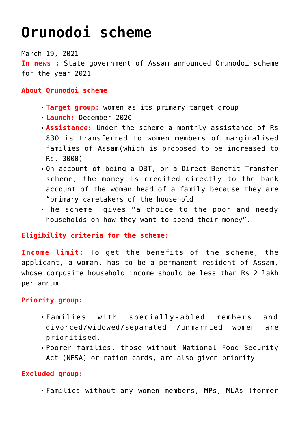# **[Orunodoi scheme](https://journalsofindia.com/orunodoi-scheme/)**

March 19, 2021 **In news :** State government of Assam announced Orunodoi scheme for the year 2021

#### **About Orunodoi scheme**

- **Target group:** women as its primary target group
- **Launch:** December 2020
- **Assistance:** Under the scheme a monthly assistance of Rs 830 is transferred to women members of marginalised families of Assam(which is proposed to be increased to Rs. 3000)
- On account of being a DBT, or a Direct Benefit Transfer scheme, the money is credited directly to the bank account of the woman head of a family because they are "primary caretakers of the household
- The scheme gives "a choice to the poor and needy households on how they want to spend their money".

### **Eligibility criteria for the scheme:**

**Income limit:** To get the benefits of the scheme, the applicant, a woman, has to be a permanent resident of Assam, whose composite household income should be less than Rs 2 lakh per annum

## **Priority group:**

- Families with specially-abled members and divorced/widowed/separated /unmarried women are prioritised.
- Poorer families, those without National Food Security Act (NFSA) or ration cards, are also given priority

## **Excluded group:**

Families without any women members, MPs, MLAs (former